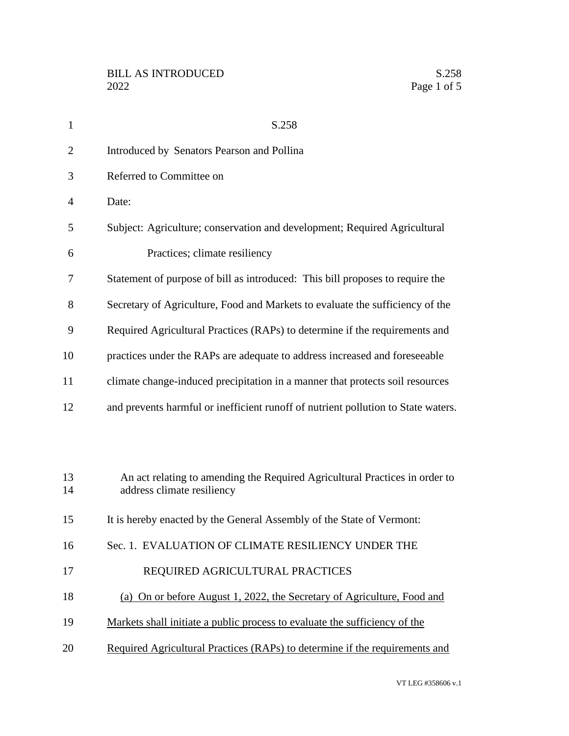| $\mathbf{1}$   | S.258                                                                                                     |
|----------------|-----------------------------------------------------------------------------------------------------------|
| $\overline{2}$ | Introduced by Senators Pearson and Pollina                                                                |
| 3              | Referred to Committee on                                                                                  |
| $\overline{4}$ | Date:                                                                                                     |
| 5              | Subject: Agriculture; conservation and development; Required Agricultural                                 |
| 6              | Practices; climate resiliency                                                                             |
| 7              | Statement of purpose of bill as introduced: This bill proposes to require the                             |
| 8              | Secretary of Agriculture, Food and Markets to evaluate the sufficiency of the                             |
| 9              | Required Agricultural Practices (RAPs) to determine if the requirements and                               |
| 10             | practices under the RAPs are adequate to address increased and foreseeable                                |
| 11             | climate change-induced precipitation in a manner that protects soil resources                             |
| 12             | and prevents harmful or inefficient runoff of nutrient pollution to State waters.                         |
|                |                                                                                                           |
| 13<br>14       | An act relating to amending the Required Agricultural Practices in order to<br>address climate resiliency |
| 15             | It is hereby enacted by the General Assembly of the State of Vermont:                                     |
| 16             | Sec. 1. EVALUATION OF CLIMATE RESILIENCY UNDER THE                                                        |
| 17             | REQUIRED AGRICULTURAL PRACTICES                                                                           |
| 18             | (a) On or before August 1, 2022, the Secretary of Agriculture, Food and                                   |
| 19             | Markets shall initiate a public process to evaluate the sufficiency of the                                |
| 20             | Required Agricultural Practices (RAPs) to determine if the requirements and                               |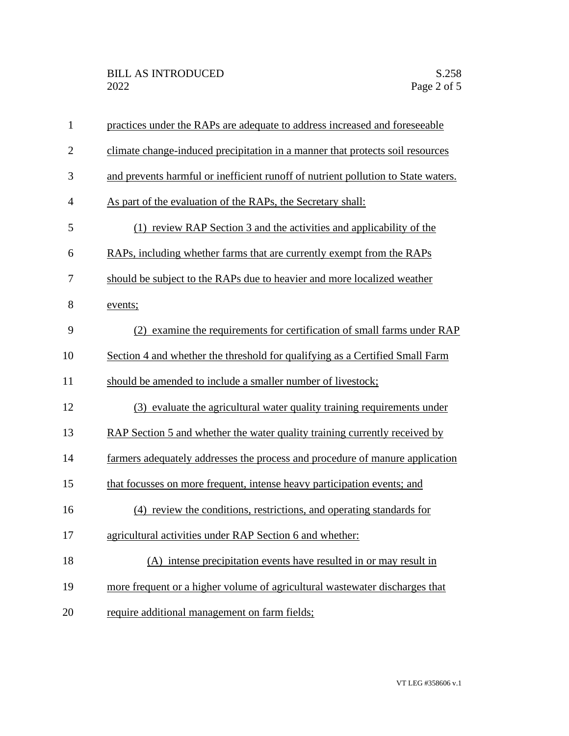| $\mathbf{1}$   | practices under the RAPs are adequate to address increased and foreseeable        |
|----------------|-----------------------------------------------------------------------------------|
| $\overline{2}$ | climate change-induced precipitation in a manner that protects soil resources     |
| 3              | and prevents harmful or inefficient runoff of nutrient pollution to State waters. |
| $\overline{4}$ | As part of the evaluation of the RAPs, the Secretary shall:                       |
| 5              | (1) review RAP Section 3 and the activities and applicability of the              |
| 6              | RAPs, including whether farms that are currently exempt from the RAPs             |
| 7              | should be subject to the RAPs due to heavier and more localized weather           |
| 8              | events;                                                                           |
| 9              | (2) examine the requirements for certification of small farms under RAP           |
| 10             | Section 4 and whether the threshold for qualifying as a Certified Small Farm      |
| 11             | should be amended to include a smaller number of livestock;                       |
| 12             | (3) evaluate the agricultural water quality training requirements under           |
| 13             | RAP Section 5 and whether the water quality training currently received by        |
| 14             | farmers adequately addresses the process and procedure of manure application      |
| 15             | that focusses on more frequent, intense heavy participation events; and           |
| 16             | (4) review the conditions, restrictions, and operating standards for              |
| 17             | agricultural activities under RAP Section 6 and whether:                          |
| 18             | (A) intense precipitation events have resulted in or may result in                |
| 19             | more frequent or a higher volume of agricultural wastewater discharges that       |
| 20             | require additional management on farm fields;                                     |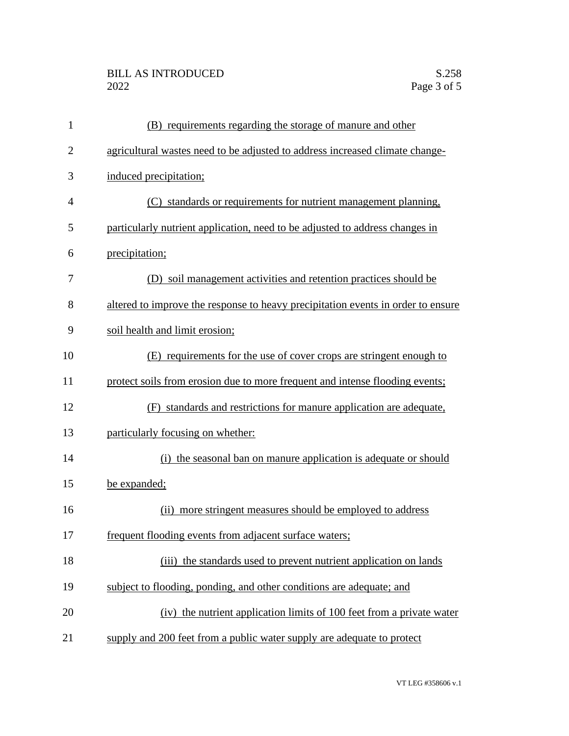| $\mathbf{1}$   | (B) requirements regarding the storage of manure and other                       |
|----------------|----------------------------------------------------------------------------------|
| $\overline{2}$ | agricultural wastes need to be adjusted to address increased climate change-     |
| 3              | induced precipitation;                                                           |
| $\overline{4}$ | (C) standards or requirements for nutrient management planning,                  |
| 5              | particularly nutrient application, need to be adjusted to address changes in     |
| 6              | precipitation;                                                                   |
| 7              | (D) soil management activities and retention practices should be                 |
| 8              | altered to improve the response to heavy precipitation events in order to ensure |
| 9              | soil health and limit erosion;                                                   |
| 10             | (E) requirements for the use of cover crops are stringent enough to              |
| 11             | protect soils from erosion due to more frequent and intense flooding events;     |
| 12             | (F) standards and restrictions for manure application are adequate,              |
| 13             | particularly focusing on whether:                                                |
| 14             | the seasonal ban on manure application is adequate or should<br>(i)              |
| 15             | be expanded;                                                                     |
| 16             | more stringent measures should be employed to address<br>(i)                     |
| 17             | frequent flooding events from adjacent surface waters;                           |
| 18             | (iii) the standards used to prevent nutrient application on lands                |
| 19             | subject to flooding, ponding, and other conditions are adequate; and             |
| 20             | (iv) the nutrient application limits of 100 feet from a private water            |
| 21             | supply and 200 feet from a public water supply are adequate to protect           |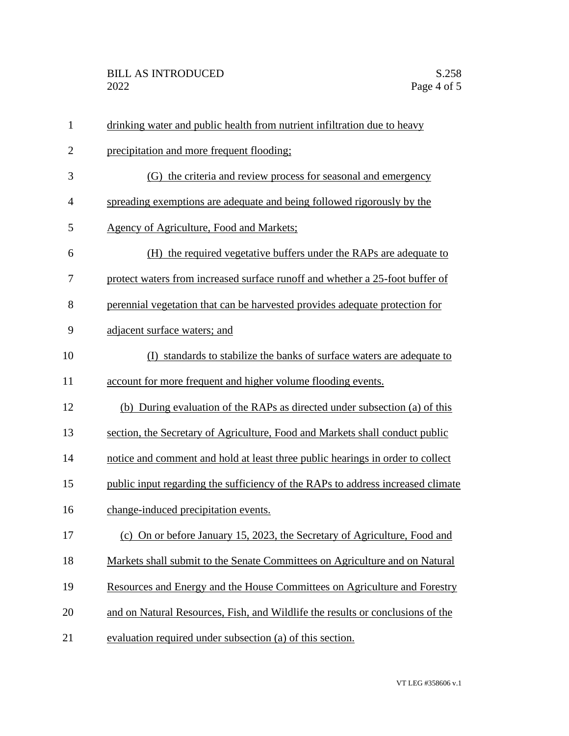| $\mathbf{1}$ | drinking water and public health from nutrient infiltration due to heavy        |
|--------------|---------------------------------------------------------------------------------|
| $\mathbf{2}$ | precipitation and more frequent flooding;                                       |
| 3            | (G) the criteria and review process for seasonal and emergency                  |
| 4            | spreading exemptions are adequate and being followed rigorously by the          |
| 5            | Agency of Agriculture, Food and Markets;                                        |
| 6            | (H) the required vegetative buffers under the RAPs are adequate to              |
| 7            | protect waters from increased surface runoff and whether a 25-foot buffer of    |
| 8            | perennial vegetation that can be harvested provides adequate protection for     |
| 9            | adjacent surface waters; and                                                    |
| 10           | (I) standards to stabilize the banks of surface waters are adequate to          |
| 11           | account for more frequent and higher volume flooding events.                    |
| 12           | (b) During evaluation of the RAPs as directed under subsection (a) of this      |
| 13           | section, the Secretary of Agriculture, Food and Markets shall conduct public    |
| 14           | notice and comment and hold at least three public hearings in order to collect  |
| 15           | public input regarding the sufficiency of the RAPs to address increased climate |
| 16           | change-induced precipitation events.                                            |
| 17           | (c) On or before January 15, 2023, the Secretary of Agriculture, Food and       |
| 18           | Markets shall submit to the Senate Committees on Agriculture and on Natural     |
| 19           | Resources and Energy and the House Committees on Agriculture and Forestry       |
| 20           | and on Natural Resources, Fish, and Wildlife the results or conclusions of the  |
| 21           | evaluation required under subsection (a) of this section.                       |